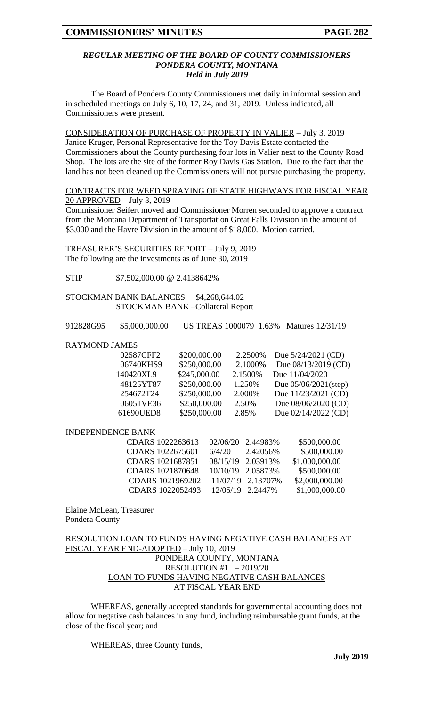### *REGULAR MEETING OF THE BOARD OF COUNTY COMMISSIONERS PONDERA COUNTY, MONTANA Held in July 2019*

The Board of Pondera County Commissioners met daily in informal session and in scheduled meetings on July 6, 10, 17, 24, and 31, 2019. Unless indicated, all Commissioners were present.

CONSIDERATION OF PURCHASE OF PROPERTY IN VALIER – July 3, 2019 Janice Kruger, Personal Representative for the Toy Davis Estate contacted the Commissioners about the County purchasing four lots in Valier next to the County Road Shop. The lots are the site of the former Roy Davis Gas Station. Due to the fact that the land has not been cleaned up the Commissioners will not pursue purchasing the property.

# CONTRACTS FOR WEED SPRAYING OF STATE HIGHWAYS FOR FISCAL YEAR 20 APPROVED – July 3, 2019

Commissioner Seifert moved and Commissioner Morren seconded to approve a contract from the Montana Department of Transportation Great Falls Division in the amount of \$3,000 and the Havre Division in the amount of \$18,000. Motion carried.

TREASURER'S SECURITIES REPORT – July 9, 2019 The following are the investments as of June 30, 2019

STIP \$7,502,000.00 @ 2.4138642%

STOCKMAN BANK BALANCES \$4,268,644.02 STOCKMAN BANK –Collateral Report

912828G95 \$5,000,000.00 US TREAS 1000079 1.63% Matures 12/31/19

#### RAYMOND JAMES

| 02587CFF2 | \$200,000.00 | 2.2500\% | Due $5/24/2021$ (CD)    |
|-----------|--------------|----------|-------------------------|
| 06740KHS9 | \$250,000.00 | 2.1000%  | Due 08/13/2019 (CD)     |
| 140420XL9 | \$245,000.00 | 2.1500%  | Due 11/04/2020          |
| 48125YT87 | \$250,000.00 | 1.250\%  | Due $05/06/2021$ (step) |
| 254672T24 | \$250,000.00 | 2.000%   | Due $11/23/2021$ (CD)   |
| 06051VE36 | \$250,000.00 | 2.50%    | Due 08/06/2020 (CD)     |
| 61690UED8 | \$250,000.00 | 2.85%    | Due $02/14/2022$ (CD)   |

#### INDEPENDENCE BANK

| CDARS 1022263613 02/06/20 2.44983% |        |                   | \$500,000.00   |
|------------------------------------|--------|-------------------|----------------|
| CDARS 1022675601                   | 6/4/20 | 2.42056%          | \$500,000.00   |
| CDARS 1021687851                   |        | 08/15/19 2.03913% | \$1,000,000.00 |
| CDARS 1021870648                   |        | 10/10/19 2.05873% | \$500,000.00   |
| CDARS 1021969202                   |        | 11/07/19 2.13707% | \$2,000,000.00 |
| CDARS 1022052493 12/05/19 2.2447%  |        |                   | \$1,000,000.00 |
|                                    |        |                   |                |

Elaine McLean, Treasurer Pondera County

# RESOLUTION LOAN TO FUNDS HAVING NEGATIVE CASH BALANCES AT FISCAL YEAR END-ADOPTED – July 10, 2019 PONDERA COUNTY, MONTANA RESOLUTION #1 – 2019/20 LOAN TO FUNDS HAVING NEGATIVE CASH BALANCES AT FISCAL YEAR END

WHEREAS, generally accepted standards for governmental accounting does not allow for negative cash balances in any fund, including reimbursable grant funds, at the close of the fiscal year; and

WHEREAS, three County funds,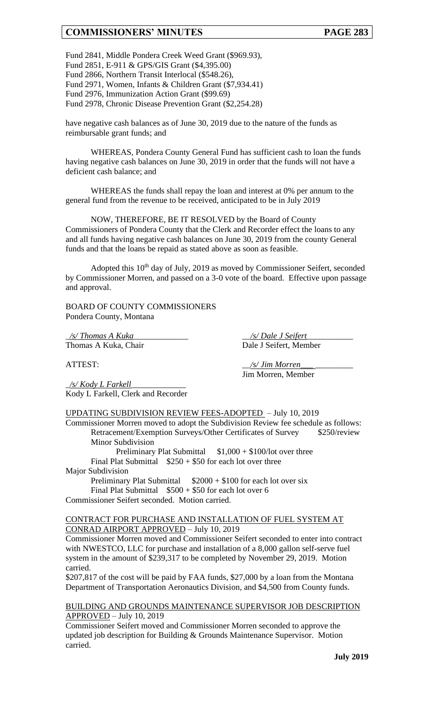Fund 2841, Middle Pondera Creek Weed Grant (\$969.93), Fund 2851, E-911 & GPS/GIS Grant (\$4,395.00) Fund 2866, Northern Transit Interlocal (\$548.26), Fund 2971, Women, Infants & Children Grant (\$7,934.41) Fund 2976, Immunization Action Grant (\$99.69) Fund 2978, Chronic Disease Prevention Grant (\$2,254.28)

have negative cash balances as of June 30, 2019 due to the nature of the funds as reimbursable grant funds; and

WHEREAS, Pondera County General Fund has sufficient cash to loan the funds having negative cash balances on June 30, 2019 in order that the funds will not have a deficient cash balance; and

WHEREAS the funds shall repay the loan and interest at 0% per annum to the general fund from the revenue to be received, anticipated to be in July 2019

NOW, THEREFORE, BE IT RESOLVED by the Board of County Commissioners of Pondera County that the Clerk and Recorder effect the loans to any and all funds having negative cash balances on June 30, 2019 from the county General funds and that the loans be repaid as stated above as soon as feasible.

Adopted this 10th day of July, 2019 as moved by Commissioner Seifert, seconded by Commissioner Morren, and passed on a 3-0 vote of the board. Effective upon passage and approval.

BOARD OF COUNTY COMMISSIONERS Pondera County, Montana

\_*/s/ Thomas A Kuka*\_\_\_\_\_\_\_\_\_\_\_\_\_ \_\_*/s/ Dale J Seifert*\_\_\_\_\_\_\_\_\_\_\_

Thomas A Kuka, Chair Dale J Seifert, Member

Jim Morren, Member

ATTEST:  $\frac{1}{s}$  /s/ Jim Morren

\_*/s/ Kody L Farkell*\_\_\_\_\_\_\_\_\_\_\_\_\_ Kody L Farkell, Clerk and Recorder

UPDATING SUBDIVISION REVIEW FEES-ADOPTED – July 10, 2019

Commissioner Morren moved to adopt the Subdivision Review fee schedule as follows: Retracement/Exemption Surveys/Other Certificates of Survey \$250/review Minor Subdivision

Preliminary Plat Submittal  $$1,000 + $100/$ lot over three Final Plat Submittal  $$250 + $50$  for each lot over three

Major Subdivision

Preliminary Plat Submittal  $$2000 + $100$  for each lot over six Final Plat Submittal  $$500 + $50$  for each lot over 6 Commissioner Seifert seconded. Motion carried.

# CONTRACT FOR PURCHASE AND INSTALLATION OF FUEL SYSTEM AT CONRAD AIRPORT APPROVED – July 10, 2019

Commissioner Morren moved and Commissioner Seifert seconded to enter into contract with NWESTCO, LLC for purchase and installation of a 8,000 gallon self-serve fuel system in the amount of \$239,317 to be completed by November 29, 2019. Motion carried.

\$207,817 of the cost will be paid by FAA funds, \$27,000 by a loan from the Montana Department of Transportation Aeronautics Division, and \$4,500 from County funds.

## BUILDING AND GROUNDS MAINTENANCE SUPERVISOR JOB DESCRIPTION  $APPROVED - July 10, 2019$

Commissioner Seifert moved and Commissioner Morren seconded to approve the updated job description for Building & Grounds Maintenance Supervisor. Motion carried.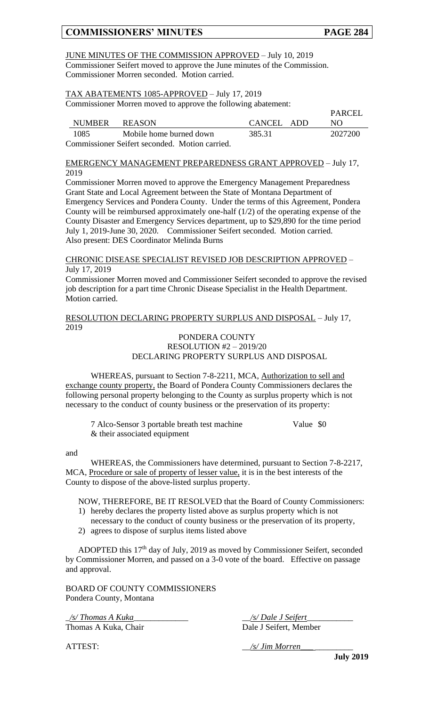### JUNE MINUTES OF THE COMMISSION APPROVED – July 10, 2019 Commissioner Seifert moved to approve the June minutes of the Commission. Commissioner Morren seconded. Motion carried.

# TAX ABATEMENTS 1085-APPROVED – July 17, 2019

Commissioner Morren moved to approve the following abatement:

|        |                                                |            | PARCEL  |
|--------|------------------------------------------------|------------|---------|
| NUMBER | <b>REASON</b>                                  | CANCEL ADD | NO.     |
| 1085   | Mobile home burned down                        | 385.31     | 2027200 |
|        | Commissioner Seifert seconded. Motion carried. |            |         |

EMERGENCY MANAGEMENT PREPAREDNESS GRANT APPROVED – July 17, 2019

Commissioner Morren moved to approve the Emergency Management Preparedness Grant State and Local Agreement between the State of Montana Department of Emergency Services and Pondera County. Under the terms of this Agreement, Pondera County will be reimbursed approximately one-half (1/2) of the operating expense of the County Disaster and Emergency Services department, up to \$29,890 for the time period July 1, 2019-June 30, 2020. Commissioner Seifert seconded. Motion carried. Also present: DES Coordinator Melinda Burns

CHRONIC DISEASE SPECIALIST REVISED JOB DESCRIPTION APPROVED – July 17, 2019

Commissioner Morren moved and Commissioner Seifert seconded to approve the revised job description for a part time Chronic Disease Specialist in the Health Department. Motion carried.

RESOLUTION DECLARING PROPERTY SURPLUS AND DISPOSAL – July 17, 2019

## PONDERA COUNTY RESOLUTION #2 – 2019/20 DECLARING PROPERTY SURPLUS AND DISPOSAL

WHEREAS, pursuant to Section 7-8-2211, MCA, Authorization to sell and exchange county property, the Board of Pondera County Commissioners declares the following personal property belonging to the County as surplus property which is not necessary to the conduct of county business or the preservation of its property:

7 Alco-Sensor 3 portable breath test machine Value \$0 & their associated equipment

#### and

WHEREAS, the Commissioners have determined, pursuant to Section 7-8-2217, MCA, Procedure or sale of property of lesser value, it is in the best interests of the County to dispose of the above-listed surplus property.

NOW, THEREFORE, BE IT RESOLVED that the Board of County Commissioners:

- 1) hereby declares the property listed above as surplus property which is not necessary to the conduct of county business or the preservation of its property,
- 2) agrees to dispose of surplus items listed above

ADOPTED this 17th day of July, 2019 as moved by Commissioner Seifert, seconded by Commissioner Morren, and passed on a 3-0 vote of the board. Effective on passage and approval.

BOARD OF COUNTY COMMISSIONERS Pondera County, Montana

\_*/s/ Thomas A Kuka*\_\_\_\_\_\_\_\_\_\_\_\_\_ \_\_*/s/ Dale J Seifert*\_\_\_\_\_\_\_\_\_\_\_

Thomas A Kuka, Chair Dale J Seifert, Member

ATTEST:  $\frac{1}{s}$  /s/ Jim Morren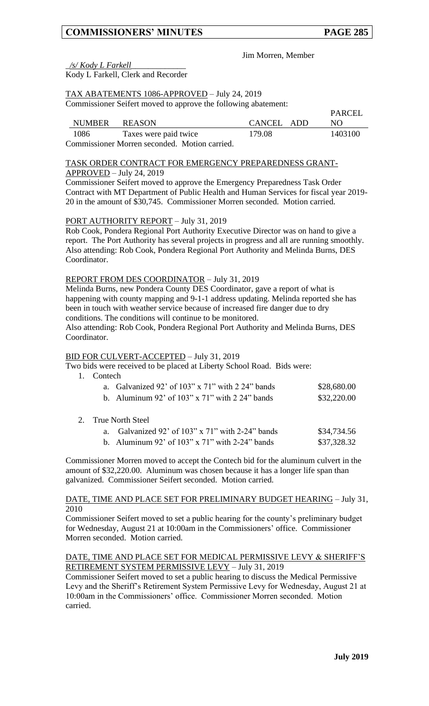**PARCEL** 

Jim Morren, Member

\_*/s/ Kody L Farkell*\_\_\_\_\_\_\_\_\_\_\_\_\_

Kody L Farkell, Clerk and Recorder

# TAX ABATEMENTS 1086-APPROVED – July 24, 2019

Commissioner Seifert moved to approve the following abatement:

|      |                                               |            | 1711 U.U |
|------|-----------------------------------------------|------------|----------|
|      | NUMBER REASON                                 | CANCEL ADD | NO.      |
| 1086 | Taxes were paid twice                         | 179.08     | 1403100  |
|      | Commissioner Morren seconded. Motion carried. |            |          |

## TASK ORDER CONTRACT FOR EMERGENCY PREPAREDNESS GRANT-APPROVED – July 24, 2019

Commissioner Seifert moved to approve the Emergency Preparedness Task Order Contract with MT Department of Public Health and Human Services for fiscal year 2019- 20 in the amount of \$30,745. Commissioner Morren seconded. Motion carried.

# PORT AUTHORITY REPORT – July 31, 2019

Rob Cook, Pondera Regional Port Authority Executive Director was on hand to give a report. The Port Authority has several projects in progress and all are running smoothly. Also attending: Rob Cook, Pondera Regional Port Authority and Melinda Burns, DES Coordinator.

# REPORT FROM DES COORDINATOR – July 31, 2019

Melinda Burns, new Pondera County DES Coordinator, gave a report of what is happening with county mapping and 9-1-1 address updating. Melinda reported she has been in touch with weather service because of increased fire danger due to dry conditions. The conditions will continue to be monitored.

Also attending: Rob Cook, Pondera Regional Port Authority and Melinda Burns, DES Coordinator.

# BID FOR CULVERT-ACCEPTED – July 31, 2019

Two bids were received to be placed at Liberty School Road. Bids were:

1. Contech

| a. Galvanized 92' of $103'' \times 71''$ with 2 24" bands | \$28,680.00 |
|-----------------------------------------------------------|-------------|
| b. Aluminum 92' of $103" \times 71"$ with 2.24" bands     | \$32,220.00 |

# 2. True North Steel

| a. Galvanized 92' of $103''$ x $71''$ with 2-24" bands | \$34,734.56 |
|--------------------------------------------------------|-------------|
| b. Aluminum 92' of $103''$ x $71''$ with 2-24" bands   | \$37,328.32 |

Commissioner Morren moved to accept the Contech bid for the aluminum culvert in the amount of \$32,220.00. Aluminum was chosen because it has a longer life span than galvanized. Commissioner Seifert seconded. Motion carried.

### DATE, TIME AND PLACE SET FOR PRELIMINARY BUDGET HEARING – July 31, 2010

Commissioner Seifert moved to set a public hearing for the county's preliminary budget for Wednesday, August 21 at 10:00am in the Commissioners' office. Commissioner Morren seconded. Motion carried.

### DATE, TIME AND PLACE SET FOR MEDICAL PERMISSIVE LEVY & SHERIFF'S RETIREMENT SYSTEM PERMISSIVE LEVY – July 31, 2019

Commissioner Seifert moved to set a public hearing to discuss the Medical Permissive Levy and the Sheriff's Retirement System Permissive Levy for Wednesday, August 21 at 10:00am in the Commissioners' office. Commissioner Morren seconded. Motion carried.